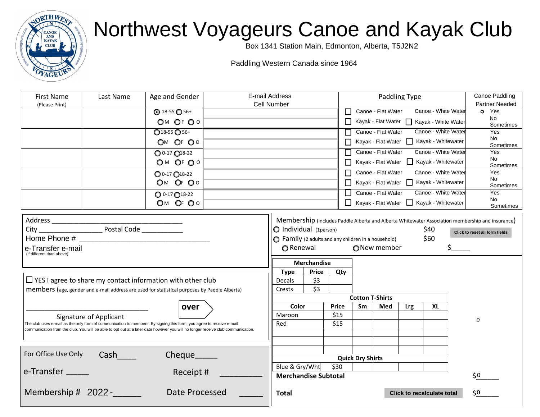

## Northwest Voyageurs Canoe and Kayak Club

Box 1341 Station Main, Edmonton, Alberta, T5J2N2

Paddling Western Canada since 1964

| <b>First Name</b><br>(Please Print)                                                                                                                                                                                                                     | Last Name              | Age and Gender            | E-mail Address<br>Cell Number |                                                   |                                                                            |              | Paddling Type           |     |                                         |                                                      |  | Canoe Paddling<br><b>Partner Needed</b> |                                                                                                  |  |
|---------------------------------------------------------------------------------------------------------------------------------------------------------------------------------------------------------------------------------------------------------|------------------------|---------------------------|-------------------------------|---------------------------------------------------|----------------------------------------------------------------------------|--------------|-------------------------|-----|-----------------------------------------|------------------------------------------------------|--|-----------------------------------------|--------------------------------------------------------------------------------------------------|--|
|                                                                                                                                                                                                                                                         |                        | $\odot$ 18-55 $\odot$ 56+ |                               |                                                   |                                                                            |              | ΙI                      |     |                                         | Canoe - Flat Water □ Canoe - White Water             |  |                                         | <b>o</b> Yes                                                                                     |  |
|                                                                                                                                                                                                                                                         |                        | OM OF OO                  |                               |                                                   |                                                                            |              |                         |     |                                         | $\Box$ Kayak - Flat Water $\Box$ Kayak - White Water |  |                                         | <b>O</b> No<br><b>o</b> Sometimes                                                                |  |
|                                                                                                                                                                                                                                                         |                        | $Q$ 18-55 $Q$ 56+         |                               |                                                   |                                                                            |              |                         |     |                                         | Canoe - Flat Water   Canoe - White Water             |  | $\circ$                                 | Yes                                                                                              |  |
|                                                                                                                                                                                                                                                         |                        | OM OF OO                  |                               |                                                   |                                                                            | П            |                         |     |                                         | Kayak - Flat Water   Kayak - Whitewater              |  | O<br>$\circ$                            | No<br>Sometimes                                                                                  |  |
|                                                                                                                                                                                                                                                         |                        | 0 0-17 018-22             |                               |                                                   |                                                                            |              |                         |     |                                         | Canoe - Flat Water Canoe - White Water               |  | $\circ$                                 | Yes                                                                                              |  |
|                                                                                                                                                                                                                                                         |                        | OM OF OO                  |                               |                                                   |                                                                            |              |                         |     |                                         | Kayak - Flat Water   Kayak - Whitewater              |  |                                         | O No<br>o Sometimes                                                                              |  |
|                                                                                                                                                                                                                                                         |                        | $Q$ 0-17 $Q$ 18-22        |                               |                                                   |                                                                            | $\mathsf{L}$ |                         |     |                                         | Canoe - Flat Water   Canoe - White Water             |  | Ō.                                      | Yes                                                                                              |  |
|                                                                                                                                                                                                                                                         |                        | OM OF OO                  |                               |                                                   |                                                                            |              |                         |     | Kayak - Flat Water   Kayak - Whitewater |                                                      |  | O No<br>o Sometimes                     |                                                                                                  |  |
|                                                                                                                                                                                                                                                         |                        | $O$ 0-17 $O$ 18-22        |                               |                                                   |                                                                            | ΙI           |                         |     |                                         | Canoe - Flat Water   Canoe - White Water             |  | $\bullet$                               | Yes                                                                                              |  |
|                                                                                                                                                                                                                                                         |                        | OM OF OO                  |                               |                                                   |                                                                            |              |                         |     |                                         | $\Box$ Kayak - Flat Water $\Box$ Kayak - Whitewater  |  | $\mathbf{o}$                            | No                                                                                               |  |
|                                                                                                                                                                                                                                                         |                        |                           |                               |                                                   |                                                                            |              |                         |     |                                         |                                                      |  |                                         | <b>o</b> Sometimes                                                                               |  |
|                                                                                                                                                                                                                                                         |                        |                           |                               |                                                   |                                                                            |              |                         |     |                                         |                                                      |  |                                         | Membership (includes Paddle Alberta and Alberta Whitewater Association membership and insurance) |  |
|                                                                                                                                                                                                                                                         |                        |                           |                               |                                                   | $\bigcirc$ Individual (1 person)<br>\$40<br>Click to reset all form fields |              |                         |     |                                         |                                                      |  |                                         |                                                                                                  |  |
|                                                                                                                                                                                                                                                         |                        |                           |                               |                                                   | \$60<br>◯ Family (2 adults and any children in a household)                |              |                         |     |                                         |                                                      |  |                                         |                                                                                                  |  |
| e-Transfer e-mail<br>(if different than above)                                                                                                                                                                                                          |                        |                           |                               | ONew member<br>◯ Renewal                          |                                                                            |              |                         |     |                                         |                                                      |  |                                         |                                                                                                  |  |
|                                                                                                                                                                                                                                                         |                        |                           |                               |                                                   | <b>Merchandise</b>                                                         |              |                         |     |                                         |                                                      |  |                                         |                                                                                                  |  |
|                                                                                                                                                                                                                                                         |                        |                           |                               | <b>Type</b>                                       | <b>Price</b>                                                               | Qty          |                         |     |                                         |                                                      |  |                                         |                                                                                                  |  |
| $\Box$ YES I agree to share my contact information with other club                                                                                                                                                                                      |                        |                           |                               | Decals                                            | \$3                                                                        |              |                         |     |                                         |                                                      |  |                                         |                                                                                                  |  |
| members (age, gender and e-mail address are used for statistical purposes by Paddle Alberta)                                                                                                                                                            |                        |                           |                               | Crests                                            | \$3                                                                        |              |                         |     |                                         |                                                      |  |                                         |                                                                                                  |  |
|                                                                                                                                                                                                                                                         |                        |                           |                               |                                                   |                                                                            |              | <b>Cotton T-Shirts</b>  |     |                                         |                                                      |  |                                         |                                                                                                  |  |
|                                                                                                                                                                                                                                                         |                        | over                      |                               | Color                                             |                                                                            | <b>Price</b> | Sm                      | Med | Lrg                                     | XL                                                   |  |                                         |                                                                                                  |  |
|                                                                                                                                                                                                                                                         | Signature of Applicant |                           |                               | Maroon                                            |                                                                            | \$15         |                         |     |                                         |                                                      |  | 0                                       |                                                                                                  |  |
| The club uses e-mail as the only form of communication to members. By signing this form, you agree to receive e-mail<br>communication from the club. You will be able to opt out at a later date however you will no longer receive club communication. |                        |                           |                               | Red                                               |                                                                            | \$15         |                         |     |                                         |                                                      |  |                                         |                                                                                                  |  |
|                                                                                                                                                                                                                                                         |                        |                           |                               |                                                   |                                                                            |              |                         |     |                                         |                                                      |  |                                         |                                                                                                  |  |
|                                                                                                                                                                                                                                                         |                        |                           |                               |                                                   |                                                                            |              |                         |     |                                         |                                                      |  |                                         |                                                                                                  |  |
| For Office Use Only                                                                                                                                                                                                                                     | <b>Cash</b>            | Cheque                    |                               |                                                   |                                                                            |              |                         |     |                                         |                                                      |  |                                         |                                                                                                  |  |
|                                                                                                                                                                                                                                                         |                        |                           |                               | Blue & Gry/Wht                                    |                                                                            | \$30         | <b>Quick Dry Shirts</b> |     |                                         |                                                      |  |                                         |                                                                                                  |  |
| e-Transfer                                                                                                                                                                                                                                              |                        | Receipt #                 |                               | <b>Merchandise Subtotal</b>                       |                                                                            |              |                         |     |                                         |                                                      |  | \$0                                     |                                                                                                  |  |
| Membership # 2022 - ______<br>Date Processed                                                                                                                                                                                                            |                        |                           |                               | <b>Click to recalculate total</b><br><b>Total</b> |                                                                            |              |                         |     | $\zeta_0$                               |                                                      |  |                                         |                                                                                                  |  |